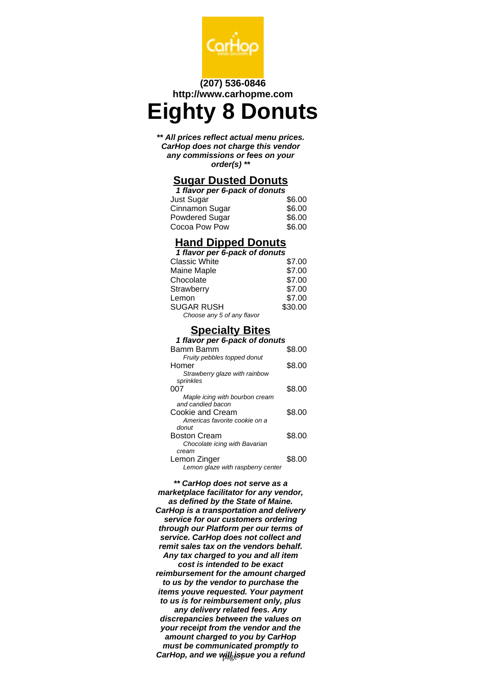

#### **(207) 536-0846 http://www.carhopme.com**

# **Eighty 8 Donuts**

**\*\* All prices reflect actual menu prices. CarHop does not charge this vendor any commissions or fees on your order(s) \*\***

#### **Sugar Dusted Donuts**

| 1 flavor per 6-pack of donuts |        |  |
|-------------------------------|--------|--|
| Just Sugar                    | \$6.00 |  |
| Cinnamon Sugar                | \$6.00 |  |
| <b>Powdered Sugar</b>         | \$6.00 |  |
| Cocoa Pow Pow                 | \$6.00 |  |

## **Hand Dipped Donuts**

**1 flavor per 6-pack of donuts**  $C$ lagaig  $M$ bite

| GRASSIC VIIIIE             | J.UU    |
|----------------------------|---------|
| Maine Maple                | \$7.00  |
| Chocolate                  | \$7.00  |
| Strawberry                 | \$7.00  |
| Lemon                      | \$7.00  |
| <b>SUGAR RUSH</b>          | \$30.00 |
| Choose any 5 of any flavor |         |

### **Specialty Bites**

| 1 flavor per 6-pack of donuts     |        |  |
|-----------------------------------|--------|--|
| Bamm Bamm                         | \$8.00 |  |
| Fruity pebbles topped donut       |        |  |
| Homer                             | \$8.00 |  |
| Strawberry glaze with rainbow     |        |  |
| sprinkles                         |        |  |
| 007                               | \$8.00 |  |
| Maple icing with bourbon cream    |        |  |
| and candied bacon                 |        |  |
| Cookie and Cream                  | \$8.00 |  |
| Americas favorite cookie on a     |        |  |
| donut                             |        |  |
| Boston Cream                      | \$8.00 |  |
| Chocolate icing with Bavarian     |        |  |
| cream                             |        |  |
| Lemon Zinger                      | \$8.00 |  |
| Lemon glaze with raspberry center |        |  |

**\*\* CarHop does not serve as a marketplace facilitator for any vendor, as defined by the State of Maine. CarHop is a transportation and delivery service for our customers ordering through our Platform per our terms of service. CarHop does not collect and remit sales tax on the vendors behalf. Any tax charged to you and all item cost is intended to be exact reimbursement for the amount charged to us by the vendor to purchase the items youve requested. Your payment to us is for reimbursement only, plus any delivery related fees. Any discrepancies between the values on your receipt from the vendor and the amount charged to you by CarHop must be communicated promptly to** CarHop, and we will issue you a refund